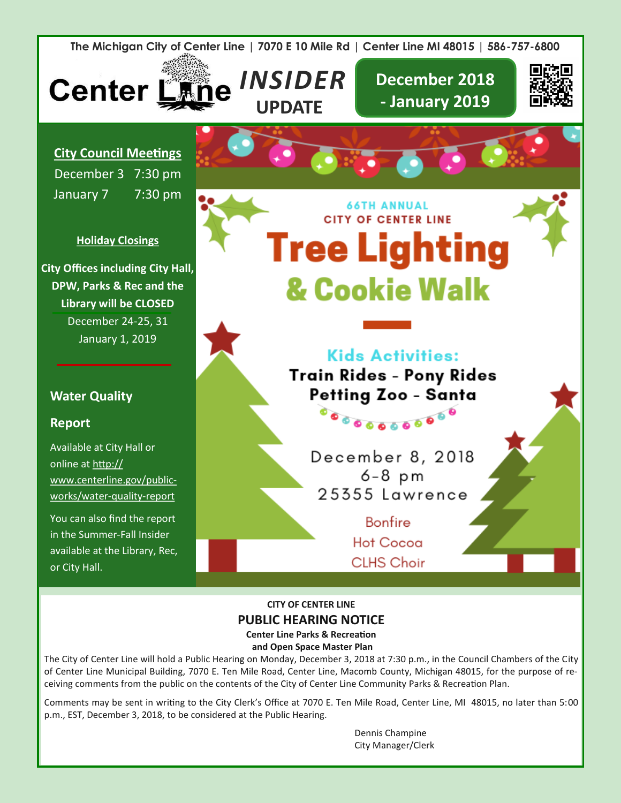

**Center Line Parks & Recreation and Open Space Master Plan**

The City of Center Line will hold a Public Hearing on Monday, December 3, 2018 at 7:30 p.m., in the Council Chambers of the City of Center Line Municipal Building, 7070 E. Ten Mile Road, Center Line, Macomb County, Michigan 48015, for the purpose of receiving comments from the public on the contents of the City of Center Line Community Parks & Recreation Plan.

Comments may be sent in writing to the City Clerk's Office at 7070 E. Ten Mile Road, Center Line, MI 48015, no later than 5:00 p.m., EST, December 3, 2018, to be considered at the Public Hearing.

> Dennis Champine City Manager/Clerk